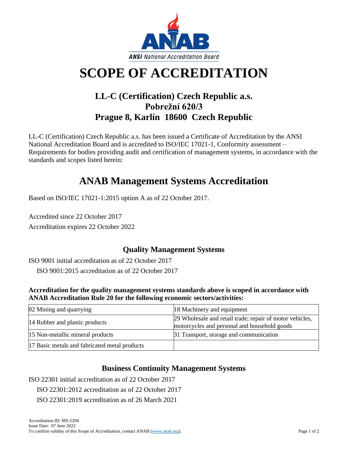

# **SCOPE OF ACCREDITATION**

## **LL-C (Certification) Czech Republic a.s. Pobrežní 620/3 Prague 8, Karlín 18600 Czech Republic**

LL-C (Certification) Czech Republic a.s. has been issued a Certificate of Accreditation by the ANSI National Accreditation Board and is accredited to ISO/IEC 17021-1, Conformity assessment – Requirements for bodies providing audit and certification of management systems, in accordance with the standards and scopes listed herein:

## **ANAB Management Systems Accreditation**

Based on ISO/IEC 17021-1:2015 option A as of 22 October 2017.

Accredited since 22 October 2017 Accreditation expires 22 October 2022

## **Quality Management Systems**

ISO 9001 initial accreditation as of 22 October 2017

ISO 9001:2015 accreditation as of 22 October 2017

#### **Accreditation for the quality management systems standards above is scoped in accordance with ANAB Accreditation Rule 20 for the following economic sectors/activities:**

| 02 Mining and quarrying                       | 18 Machinery and equipment                                                                               |
|-----------------------------------------------|----------------------------------------------------------------------------------------------------------|
| 14 Rubber and plastic products                | 29 Wholesale and retail trade; repair of motor vehicles,<br>motorcycles and personal and household goods |
| 15 Non-metallic mineral products              | 31 Transport, storage and communication                                                                  |
| 17 Basic metals and fabricated metal products |                                                                                                          |

## **Business Continuity Management Systems**

ISO 22301 initial accreditation as of 22 October 2017

ISO 22301:2012 accreditation as of 22 October 2017

ISO 22301:2019 accreditation as of 26 March 2021